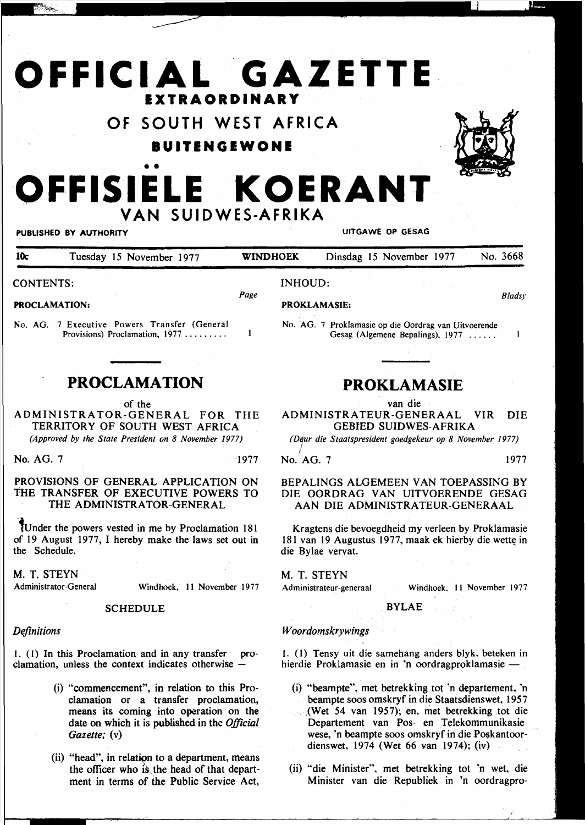# **OFFICIAL GAZETTE EXTRAORDINARY**

### **OF SOUTH WEST AFRICA**

### **BUITENGEWONE**



## • • OFFISIELE KOERANT **VAN SUIDWES-AFRIKA**

#### PUBLISHED BY AUTHORITY UITGAWE OP GESAG

| <b>10c</b> | Tuesday 15 November 1977 | <b>WINDHOEK</b> | Dinsdag 15 November 1977 | No. 3668 |
|------------|--------------------------|-----------------|--------------------------|----------|
|            |                          |                 |                          |          |

CONTENTS:

*Page* 

 $\mathbf{1}$ 

PROCLAMATION:

No. AG. 7 Executive Powers Transfer (General Provisions) Proclamation, 1977 ........

### **PROCLAMATION**

of the

ADMINISTRATOR-GENERAL FOR THE TERRITORY OF SOUTH WEST AFRICA *(Approved by the State President on 8 November 1977)* 

No. AG. 7 1977

### PROVISIONS OF GENERAL APPLICATION ON THE TRANSFER OF EXECUTIVE POWERS TO THE ADMINISTRATOR-GENERAL

-1under the powers vested in me by Proclamation 181 of 19 August 1977, I hereby make the laws set out in the Schedule.

## M. T. STEYN<br>Administrator-General

Windhoek, 11 November 1977

#### **SCHEDULE**

### *Definitions*

1. (1) In this Proclamation and in any transfer proclamation, unless the context indicates otherwise  $-$ 

- (i) "commencement", in relation to this Proclamation , or a transfer proclamation, means its coming into operation on the date on which it is published in the *Official Gazette;* (v)
- $(ii)$  "head", in relation to a department, means the officer who is the head of that department in terms of the Public Service Act,

### INHOUD:

PROKLAMASIE:

No. AG. 7 Proklamasie op die Oordrag van Uitvoerende Gesag (Aigemene Bepalings), 1977 ..... .

### **PROKLAMASIE**

van die

ADMINISTRATEUR-GENERAAL VIR DIE GEBIED SUIDWES-AFRIKA

*(D,ur die Staatspresident goedgekeur op 8 November 1977)* 

I No. AG. 7 1977

*Bladsy* 

 $\mathbf{I}$ 

### BEPALINGS ALGEMEEN VAN TOEPASSING BY DIE OORDRAG VAN UITVOERENDE GESAG AAN DIE ADMINISTRATEUR-GENERAAL

Kragtens die bevoegdheid my verleen by Proklamasie 181 van 19 Augustus 1977, maak ek hierby die wette in die Bylae vervat.

### M. T. STEYN

Administrateur-generaal Windhoek, II November 1977

**BYLAE** 

### *Woordomskrywings*

I. (I) Tensy uit die samehang anders blyk, beteken in hierdie Proklamasie en in 'n oordragproklamasie -

- (i) "beampte", met betrekking tot 'n departement, 'n beampte soos omskryf in die Staatsdienswet, 1957 ,(Wet 54 van 1957); en, met betrekking tot die Departement van Pos- en Telekommunikasiewese, 'n beampte soos omskryf in die Poskantoordienswet, 1974 (Wet 66 van 1974); (iv)
- (ii) "die Minister", met betrekking tot 'n wet, die Minister van die Republiek in 'n oordragpro-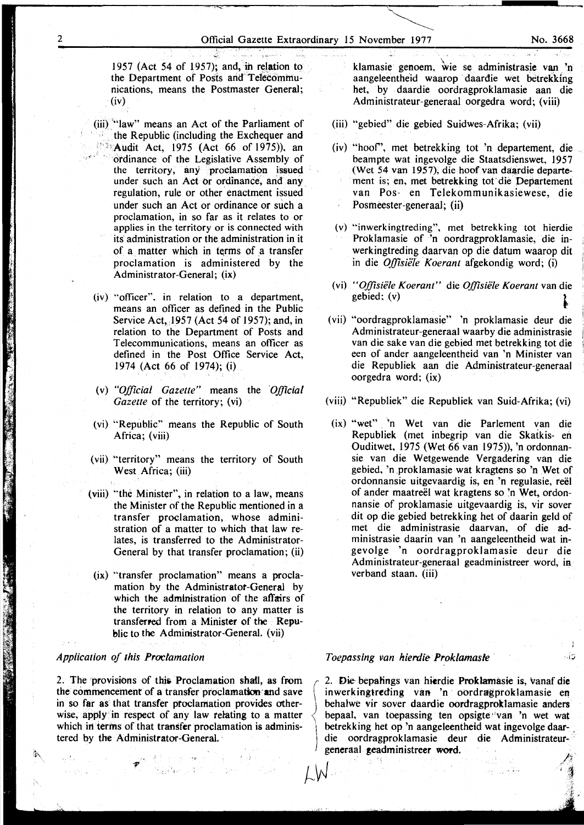1957 (Act 54 of 1957); and, in relation to the Department of Posts and Telecommunications, means the Postmaster General; (iv)

- (iii) '"Jaw" means an Act of the Parliament of the Republic (including the Exchequer and **••••** Audit Act, 1975 (Act 66 of 1975)), an . ordinance of the Legislative Assembly of the territory, any proclamation issued under such an Act or ordinance, and any regulation, rule or other enactment issued under such an Act or ordinance or such a proclamation, in so far as it relates to or applies in the territory or is connected with its administration or the administration in it of a matter which in terms of a transfer proclamation is administered by the Administrator-General; (ix)
- $(iv)$  "officer", in relation to a department, means an officer as defined in the Public Service Act, 1957 (Act 54 of 1957); and, in relation to the Department of Posts and Telecommunications, means an officer as defined in the Post Office Service Act, 1974 (Act 66 of 1974); (i)
- (v) *"Official Gazette"* means the *'Official Gazette* of the territory; (vi)
- (vi) "'Republic" means the Republic of South Africa; (viii)
- (vii) "territory" means the territory of South West Africa; (iii)
- (viii) "the Minister", in relation to a law, means the Minister of the Republic mentioned in a transfer proclamation, whose administration of a matter to which that law relates, is transferred to the Administrator-General by that transfer proclamation; (ii)
- (ix) "transfer proclamation" means a proclamation by the Administrator-General by which the administration of the affairs of the territory in relation to any matter is transferred from a Minister of the Republic to the Administrator-General. (vii)

#### *Application of this Proclamation*

1"

i}\,

2. The provisions of this Proclamation shall, as from the commencement of a transfer proclamation and save in so far as that transfer proclamation provides otherwise, apply in respect of any law relating to a matter which in terms of that transfer proclamation is administered by the Administrator-General.

按算器的 人类的 计可变时间

klamasie genoem, wie se administrasie van 'n aangeleentheid waarop daardie wet betrekking het, by daardie oordragproklamasie aan die Administrateur-generaal oorgedra word; (viii)

- (iii) "gebied" die gebied Suidwes-Afrika; (vii)
- (iv) "hoof', met betrekking tot 'n departement, die beampte wat ingevolge die Staatsdienswet, 1957 (Wet 54 van 1957), die hoof van daardie departement is; en, met betrekking tot'die Departement van Pos- en Telekommunikasiewese, die Posmeester-generaal; (ii)
- (v) "inwerkingtreding", met betrekking tot hierdie Proklamasie of 'n oordragproklamasie, die inwerkingtreding daarvan op die datum waarop dit in die *Offisiële Koerant* afgekondig word; (i)
- (vi) *"O.ffisiele Koerant"* die *O.ffisiille Koerant* van die gebied;  $(v)$
- (vii) "oordragproklamasie" 'n proklamasie deur die Administrateur-generaal waarby die administrasie van die sake van die gebied met betrekking tot die een of ander aangeleentheid van 'n Minister van die Republiek aan die Administrateur-generaal oorgedra word; (ix)
- (viii) "Republiek" die Republiek van Suid-Afrika; (vi)
	- (ix) "wet" 'n Wet van die Parlement van die Republiek (met inbegrip van die Skatkis- en Ouditwet, 1975 (Wet 66 van 1975)), 'n ordonnansie van die W etgewende Vergadering van die gebied, 'n ,proklamasie wat kragtens so 'n Wet of ordonnansie uitgevaardig is, en 'n regulasie, reel of ander maatreel wat kragtens so 'n Wet, ordonnansie of proklamasie uitgevaardig is, vir sover dit op die gebied betrekking het of daarin geld of met die administrasie daarvan, of die administrasie daarin van 'n aangeleentheid wat ingevolge 'n oordragproklamasie deur die Administrateur-generaal geadministreer word, in verband staan. (iii)

### *Toepassing van hierdie Proklamasle* !:I

L W

2. Die bepatings van hierdie Proklamasie is, vanaf die inwerkingtreding van 'n oordragproklamasie en behalwe vir sover daardie oordragproklamasie anders bepaal, van toepassing ten opsigte ''van 'n wet wat betrekking het op 'n aangeleentheid wat ingevolge daar- . die oordragproklamasie deur die Administrateurgeneraal geadministreer word.

فلوقا يعادى المولى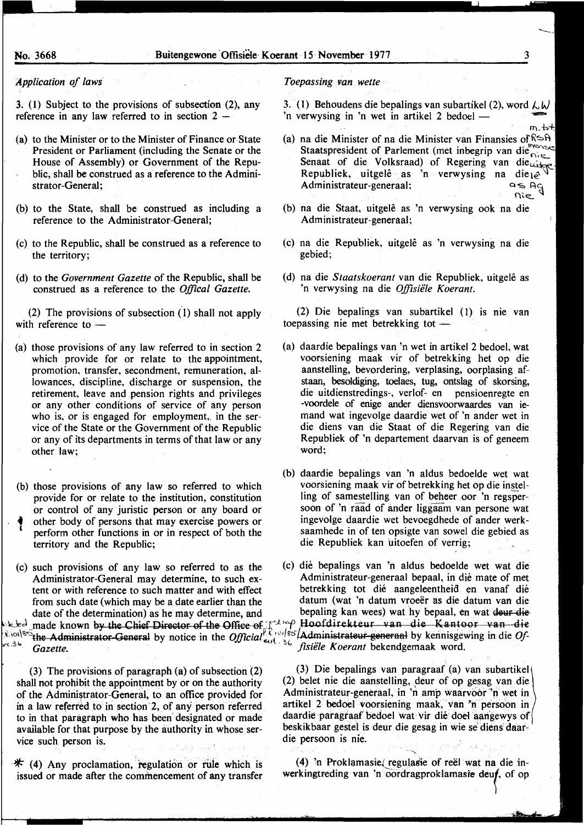$m, b+$ 

### *Application of laws*

 $\ddot{\phantom{a}}$ 

3. (l) Subject to the provisions of subsection (2), any reference in any law referred to in section  $2 -$ 

- (a) to the Minister or to the Minister of Finance or State President or Parliament (including the Senate or the House of Assembly) or Government of the Republic, shall be construed as a reference to the Administrator-General;
- (b) to the State, shall be construed as including a reference to the Administrator-General;
- (c) to the Republic, shall be construed as a reference to the territory;
- (d) to the *Government Gazette* of the Republic, shall be construed as a reference to the *Offical Gazette.*

(2) The provisions of subsection ( 1) shall not apply with reference to  $-$ 

- (a) those provisions of any law referred to in section 2 which provide for or relate to the appointment, promotion, transfer, secondment, remuneration, allowances, discipline, discharge or suspension, the retirement, leave and pension rights and privileges or any other conditions of service of any person who is, or is engaged for employment, in the service of the State or the Government of the Republic or any of its departments in terms of that law or any other law;
- (b) those provisions of any law so referred to which provide for or relate to the institution, constitution or control of any juristic person or any board or other body of persons that may exercise powers or perform other functions in or in respect of both the territory and the Republic;
- from such date (which may be a date earlier than the

(3) The provisions of paragraph (a) of subsection (2) shall not prohibit the appointment by or on the authority of the Administrator-General, to an office provided for in a law referred to in section 2, of any person referred to in that paragraph who has been designated or made available for that purpose by the authority in whose service such person is.

 $*$  (4) Any proclamation, regulation or rule which is issued or made after the commencement of any transfer

#### *Toepassing van wette* ·

3. (1) Behoudens die bepalings van subartikel (2), word  $\lambda$  W 'n verwysing in 'n wet in artikel 2 bedoel  $-$ 

- (a) na die Minister of na die Minister van Finansies of  $\mathbb{R}$   $\rightarrow$   $\mathbb{R}$ Staatspresident of Parlement (met inbegrip van die  $\bigcap_{k \in \mathbb{Z}}$ Staatspressient en mensende Regering van die uitge Republiek, uitgelê as 'n verwysing na die<sub>te</sub>.<br>Administrateur-generaal; Administrateur-generaal;  $\eta$ ie
- (b) na die Staat, uitgele as 'n verwysing ook na die Administrateur-generaal;
- (c) na die Republiek, uitgele as 'n verwysing na die gebied;
- (d) na die *Staatskoerant* van die Republiek, uitgele as 'n verwysing na die Offisiële Koerant.

(2) Die bepalings van subartikel ( 1) is nie van toepassing nie met betrekking tot  $-$ 

- (a) daardie bepalings van 'n wet in artikel 2 bedoel, wat voorsiening maak vir of betrekking het op die aanstelling, bevordering, verplasing, oorplasing afstaan, besoldiging, toelaes, tug, ontslag of skorsing, die uitdienstredings-, verlof- en pensioenregte en -voordele of enige ander diensvoorwaardes van iemand wat ingevolge daardie wet of 'n ander wet in die diens van die Staat of die Regering van die Republiek of 'n departement daarvan is of geneem word;
- (b) daardie bepalings van 'n aldus bedoelde wet wat voorsiening maak vir of betrekking het op die instelling of samestelling van of beheer oor 'n regspersoon of 'n raad of ander liggaam van persone wat ingevolge daardie wet bevoegdhede of ander werksaamhede in of ten opsigte van sowel die gebied as die Republiek kan uitoefen of verrig;
- (c) such provisions of any law so referred to as the (c) die bepalings van 'n aldus bedoelde wet wat die Administrator-General may determine, to such ex-<br>  $\frac{1}{2}$  Administrateur-generaal bepaal, in dié mate of met<br>
tent or with reference to such matter and with effect<br>  $\frac{1}{2}$  betrekking tot dié aangeleentheid en vanaf di tent or with reference to such matter and with effect betrekking tot dié aangeleentheid en vanaf dié<br>from such date (which may be a date earlier than the datum (wat 'n datum vroeër as die datum van die date of the determination) as he may determine, and bepaling kan wees) wat hy bepaal, en wat deur die  $\frac{1}{2}$ <br>Recolumnation by the Chief Director of the Office of  $\int_{c_1}^{c_2}$  Hoofdirekteur van die Kantoor van die Recolumn and die Recolumn van die Recolumn die Recolumn die Recolumn die Recolumn die Recolumn die Recolu

(3) Die bepalings van paragraaf (a) van subartikel (2) belet nie die aanstelling, deur of op gesag van die Administrateur-generaal, in 'n amp waarvoor 'n wet in artikel 2 bedoel voorsiening maak, van 'n persoon in daardie paragraaf bedoel wat vir die doel aangewys of beskikbaar gestel is deur die gesag in wie se diens daardie persoon is nie.

·-~ ........... (4) 'n Proklamasie (regulasie of reël wat na die inwerkingtreding van 'n oordragproklamasie deuf, of op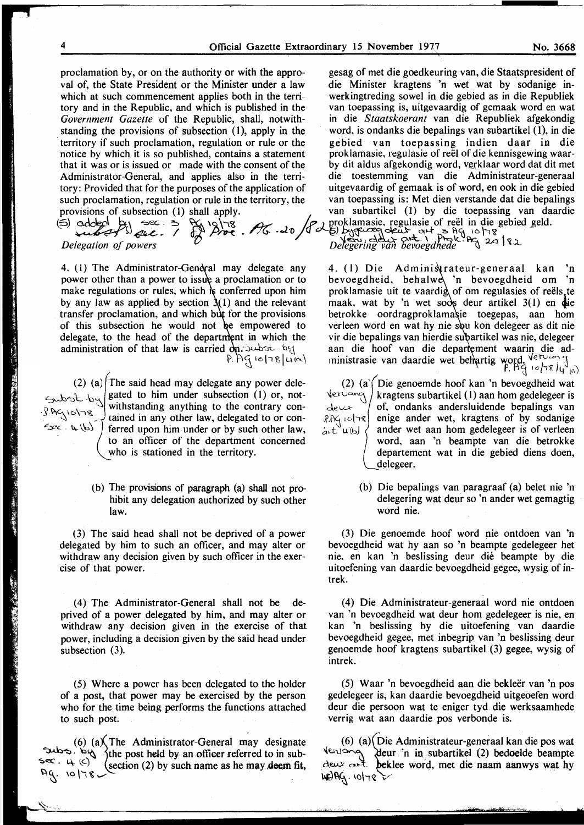proclamation by, or on the authority or with the appro- gesag of met die goedkeuring van, die Staatspresident of val of, the State President or the Minister under a law die Minister kragtens 'n wet wat by sodanige inwhich at such commencement applies both in the terri-<br>werkingtreding sowel in die gebied as in die Republiek tory and in the Republic, and which is published in the van toepassing is, uitgevaardig of gemaak word en wat *Government Gazette* of the Republic, shall, notwith- in die *Staatskoerant* van die Republiek afgekondig standing the provisions of subsection (1), apply in the word, is ondanks die bepalings van subartikel (1), in die territory if such proclamation, regulation or rule or the gebied van toepassing indien daar in die notice by which it is so published, contains a statement that it was or is issued or made with the consent of the by dit aldus afgekondig word, verklaar word dat dit met Administrator-General, and applies also in the terri- die toestemming van die Administrateur-generaal tory: Provided that for the purposes of the application of uitgevaardig of gemaak is of word, en ook in die gebied such proclamation, regulation or rule in the territory, the van toepassing is: Met dien verstande dat die bepalings

(5) cdckcl by sec. 3 & 12178<br>where . / . proklamasie, regulasie of reel in die gebied geld.<br>where is not also by the country of a b by the lot of the *Delegation of powers*  $\frac{1}{2}$  of  $\frac{1}{2}$  and  $\frac{1}{2}$  and  $\frac{1}{2}$  and  $\frac{1}{2}$  and  $\frac{1}{2}$  and  $\frac{1}{2}$  and  $\frac{1}{2}$  and  $\frac{1}{2}$  and  $\frac{1}{2}$  and  $\frac{1}{2}$  and  $\frac{1}{2}$  and  $\frac{1}{2}$  and  $\frac{1}{2}$  and  $\frac{$ 

4. (1) The Administrator-General may delegate any power other than a power to issue a proclamation or to make regulations or rules, which  $\phi$  conferred upon him by any law as applied by section  $\lambda(1)$  and the relevant transfer proclamation, and which but for the provisions of this subsection he would not be empowered to delegate, to the head of the department in which the administration of that law is carried  $\partial p$ . substable  $P$ . AG  $|o|$ 78  $|u(e)|$ 

(2) (a) The said head may delegate any power dele- $\epsilon_{\rm sub}$   $\epsilon_{\rm sub}$  | gated to him under subsection (1) or, not- $\mathbb{R} \setminus \{0\} \setminus \mathbb{R}$  withstanding anything to the contrary con- $\leq c$ .  $\infty$   $\setminus$   $\geq$  ferred upon him under or by such other law, to an officer of the department concerned who is stationed in the territory.

> (b) The provisions of paragraph (a) shall not prohibit any delegation authorized by such other law.

(3) The said head shall not be deprived of a power delegated by him to such an officer, and may alter or withdraw any decision given by such officer in the exercise of that power.

(4) The Administrator-General shall not be deprived of a power delegated by him, and may alter or withdraw any decision given in the exercise of that power, including a decision given by the said head under subsection (3).

(5) Where a power has been delegated to the holder of a post, that power may be exercised by the person who for the time being performs the functions attached to such post.

(6)  $(a)$  The Administrator-General may designate  $\sim$   $\sim$   $\sim$   $\sim$   $\sim$   $\sim$   $\sim$  the post held by an officer referred to in sub- $\mathbb{R}^{n}$ .  $\mathbb{R}^{n}$  (section (2) by such name as he may deem fit, Ag. 10178 .

~

provisions of subsection (l) shall apply. van subartikel (I) by die toepassing van daardie

4. (1) Die Administrateur-generaal kan 'n bevoegdheid, behalw 'n bevoegdheid om 'n proklamasie uit te vaardig of om regulasies of reëls te maak, wat by 'n wet soos deur artikel  $3(1)$  en  $\phi$ ie betrokke oordragproklamasie toegepas, aan hom verleen word en wat hy nie sou kon delegeer as dit nie vir die bepalings van hierdie subartikel was nie, delegeer aan die hoof van die departement waarin die administrasie van daardie wet behartig word. Vervannig  $P$ . AG  $10^{18}$  /y $^9$ ia)

(2) (a) Die genoemde hoof kan 'n bevoegdheid wat  $\text{Ver} \propto \text{Var}$  kragtens subartikel (1) aan hom gedelegeer is  $k$ ragtens subartikel (I) aan hom gedelegeer is  $dev$  (decomptanks andersluidende bepalings van  $f.AG \cap g$  enige ander wet, kragtens of by sodanige  $\alpha_t t^{\nu}$ u(b)  $\ell$  ander wet aan hom gedelegeer is of verleen word, aan 'n beampte van die betrokke departement wat in die gebied diens doen, delegeer.

> (b) Die bepalings van paragraaf (a) belet nie 'n delegering wat deur so 'n ander wet gemagtig word nie.

(3) Die genoemde hoof word nie ontdoen van 'n bevoegdheid wat hy aan so 'n beampte gedelegeer bet nie, en kan 'n beslissing deur die beampte by die uitoefening van daardie bevoegdheid gegee, wysig of intrek.

(4) Die Administrateur-generaal word nie ontdoen van 'n bevoegdheid wat deur hom gedelegeer is nie, en kan 'n beslissing by die uitoefening van daardie bevoegdheid gegee, met inbegrip van 'n beslissing deur genoemde hoof kragtens subartikel (3) gegee, wysig of in trek.

(5) Waar 'n bevoegdheid aan die bekleer van 'n pos gedelegeer is, kan daardie bevoegdheid uitgeoefen word deur die persoon wat te eniger tyd die werksaamhede verrig wat aan daardie pos verbonde is.

 $\sqrt{\frac{1}{2}}$  eur 'n in subartikel (2) bedoelde beampte (6) (a) Die Administrateur-generaal kan die pos wat deur out beklee word, met die naam aanwys wat hy  $WDRQ.$  10/78 -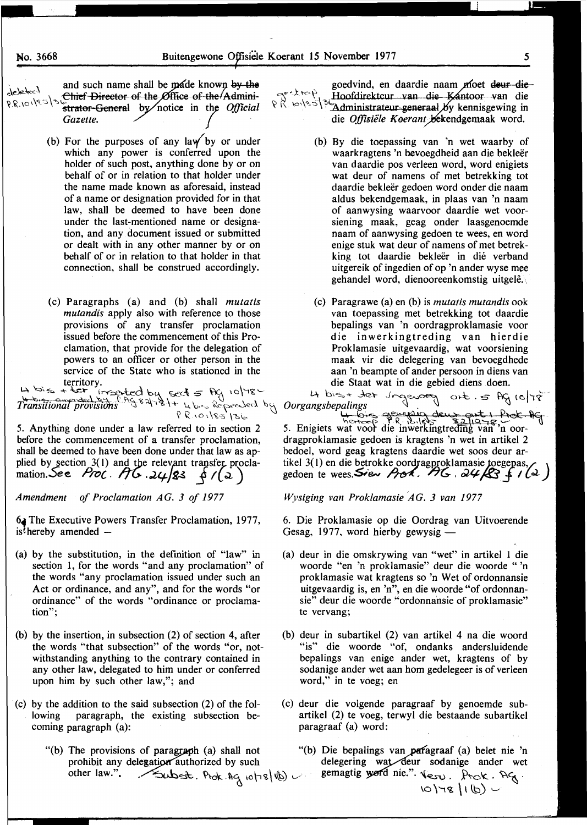and such name shall be made known by the deleted Chief Director of the Øffice of the Admini- $555/10189.999$ strator-General by notice in the Official Gazette.

- (b) For the purposes of any law by or under which any power is conferred upon the holder of such post, anything done by or on behalf of or in relation to that holder under the name made known as aforesaid, instead of a name or designation provided for in that law, shall be deemed to have been done under the last-mentioned name or designation, and any document issued or submitted or dealt with in any other manner by or on behalf of or in relation to that holder in that connection, shall be construed accordingly.
- (c) Paragraphs (a) and (b) shall mutatis *mutandis* apply also with reference to those provisions of any transfer proclamation issued before the commencement of this Proclamation, that provide for the delegation of powers to an officer or other person in the service of the State who is stationed in the

erritory.<br>
La bis + ter incepted by sect 5 Ag 10/78 4 bis + terminal provisions<br>
Transitional provisions of 84781+ 4 bis Repressed by Oorgangsbepalings<br>
PR10185136<br>
PR10185136

5. Anything done under a law referred to in section 2 before the commencement of a transfer proclamation, shall be deemed to have been done under that law as applied by section 3(1) and the relevant transfer procla-<br>mation. See Proc.  $\pi$ 6.24/83 6/(2)

Amendment of Proclamation AG. 3 of 1977

6. The Executive Powers Transfer Proclamation, 1977, is<sup> $\xi$ </sup>hereby amended –

- (a) by the substitution, in the definition of "law" in section 1, for the words "and any proclamation" of the words "any proclamation issued under such an Act or ordinance, and any", and for the words "or ordinance" of the words "ordinance or proclamation":
- (b) by the insertion, in subsection  $(2)$  of section 4, after the words "that subsection" of the words "or, notwithstanding anything to the contrary contained in any other law, delegated to him under or conferred upon him by such other law,"; and
- (c) by the addition to the said subsection (2) of the folparagraph, the existing subsection belowing coming paragraph (a):
	- "(b) The provisions of paragraph (a) shall not prohibit any delegation authorized by such other law.". Subst. Prok. Ag 10/78/10

goedvind, en daardie naam moet deur die goedvinu, en uaarde haar meer een en die die Offisiële Koerant bekendgemaak word.

- (b) By die toepassing van 'n wet waarby of waarkragtens 'n bevoegdheid aan die bekleër van daardie pos verleen word, word enigiets wat deur of namens of met betrekking tot daardie bekleër gedoen word onder die naam aldus bekendgemaak, in plaas van 'n naam of aanwysing waarvoor daardie wet voorsiening maak, geag onder laasgenoemde naam of aanwysing gedoen te wees, en word enige stuk wat deur of namens of met betrekking tot daardie bekleër in dié verband uitgereik of ingedien of op 'n ander wyse mee gehandel word, dienooreenkomstig uitgelê.
- (c) Paragrawe (a) en (b) is *mutatis mutandis* ook van toepassing met betrekking tot daardie bepalings van 'n oordragproklamasie voor die inwerkingtreding van hierdie Proklamasie uitgevaardig, wat voorsiening maak vir die delegering van bevoegdhede aan 'n beampte of ander persoon in diens van die Staat wat in die gebied diens doen.

4 bist that ingevery out 5 Ag 10/78 5. Enigiets wat voor die inwerkingtreding van 'n oordragproklamasie gedoen is kragtens 'n wet in artikel 2 bedoel, word geag kragtens daardie wet soos deur artikel 3(1) en die betrokke oordragproklamasie toegepas, gedoen te wees. Siew Arch.  $H_6$ ,  $24/8$  f  $1/2$ )

Wysiging van Proklamasie AG. 3 van 1977

6. Die Proklamasie op die Oordrag van Uitvoerende Gesag, 1977, word hierby gewysig -

- (a) deur in die omskrywing van "wet" in artikel 1 die woorde "en 'n proklamasie" deur die woorde "'n proklamasie wat kragtens so 'n Wet of ordonnansie uitgevaardig is, en 'n", en die woorde "of ordonnansie" deur die woorde "ordonnansie of proklamasie" te vervang;
- (b) deur in subartikel (2) van artikel 4 na die woord "is" die woorde "of, ondanks andersluidende bepalings van enige ander wet, kragtens of by sodanige ander wet aan hom gedelegeer is of verleen word," in te voeg; en
- (c) deur die volgende paragraaf by genoemde subartikel (2) te voeg, terwyl die bestaande subartikel paragraaf (a) word:
	- "(b) Die bepalings van paragraaf (a) belet nie 'n delegering wat deur sodanige ander wet gemagtig word nie."  $\sqrt{\epsilon_{SU}}$ . Prok.  $\frac{1}{\sqrt{\epsilon}}$ .

5